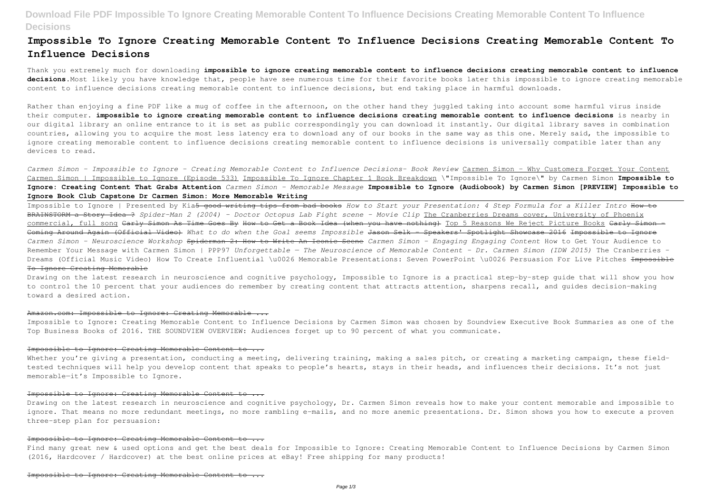# **Download File PDF Impossible To Ignore Creating Memorable Content To Influence Decisions Creating Memorable Content To Influence Decisions**

# **Impossible To Ignore Creating Memorable Content To Influence Decisions Creating Memorable Content To Influence Decisions**

Thank you extremely much for downloading **impossible to ignore creating memorable content to influence decisions creating memorable content to influence decisions**.Most likely you have knowledge that, people have see numerous time for their favorite books later this impossible to ignore creating memorable content to influence decisions creating memorable content to influence decisions, but end taking place in harmful downloads.

Rather than enjoying a fine PDF like a mug of coffee in the afternoon, on the other hand they juggled taking into account some harmful virus inside their computer. **impossible to ignore creating memorable content to influence decisions creating memorable content to influence decisions** is nearby in our digital library an online entrance to it is set as public correspondingly you can download it instantly. Our digital library saves in combination countries, allowing you to acquire the most less latency era to download any of our books in the same way as this one. Merely said, the impossible to ignore creating memorable content to influence decisions creating memorable content to influence decisions is universally compatible later than any devices to read.

*Carmen Simon - Impossible to Ignore - Creating Memorable Content to Influence Decisions- Book Review* Carmen Simon - Why Customers Forget Your Content Carmen Simon | Impossible to Ignore (Episode 533) Impossible To Ignore Chapter 1 Book Breakdown \"Impossible To Ignore\" by Carmen Simon **Impossible to Ignore: Creating Content That Grabs Attention** *Carmen Simon - Memorable Message* **Impossible to Ignore (Audiobook) by Carmen Simon [PREVIEW] Impossible to Ignore Book Club Capstone Dr Carmen Simon: More Memorable Writing**

Whether you're giving a presentation, conducting a meeting, delivering training, making a sales pitch, or creating a marketing campaign, these fieldtested techniques will help you develop content that speaks to people's hearts, stays in their heads, and influences their decisions. It's not just memorable—it's Impossible to Ignore.

# Impossible to Ignore: Creating Memorable Content to ...

Find many great new & used options and get the best deals for Impossible to Ignore: Creating Memorable Content to Influence Decisions by Carmen Simon (2016, Hardcover / Hardcover) at the best online prices at eBay! Free shipping for many products!

Impossible to Ignore | Presented by Kia5 good writing tips from bad books *How to Start your Presentation: 4 Step Formula for a Killer Intro* How to BRAINSTORM a Story Idea ? *Spider-Man 2 (2004) - Doctor Octopus Lab Fight scene - Movie Clip* The Cranberries Dreams cover, University of Phoenix commercial, full song <del>Carly Simon As Time Goes By How to Get a Book Idea (when you have nothing)</del> Top 5 Reasons We Reject Picture Books Carly Simon -Coming Around Again (Official Video) *What to do when the Goal seems Impossible* Jason Selk - Speakers' Spotlight Showcase 2016 Impossible to Ignore *Carmen Simon - Neuroscience Workshop* Spiderman 2: How to Write An Iconic Scene *Carmen Simon - Engaging Engaging Content* How to Get Your Audience to Remember Your Message with Carmen Simon | PPP97 *Unforgettable — The Neuroscience of Memorable Content - Dr. Carmen Simon (IDW 2015)* The Cranberries - Dreams (Official Music Video) How To Create Influential \u0026 Memorable Presentations: Seven PowerPoint \u0026 Persuasion For Live Pitches <del>Impossible</del> To Ignore Creating Memorable

Drawing on the latest research in neuroscience and cognitive psychology, Impossible to Ignore is a practical step-by-step guide that will show you how to control the 10 percent that your audiences do remember by creating content that attracts attention, sharpens recall, and guides decision-making toward a desired action.

# Amazon.com: Impossible to Ignore: Creating Memorable ...

Impossible to Ignore: Creating Memorable Content to Influence Decisions by Carmen Simon was chosen by Soundview Executive Book Summaries as one of the Top Business Books of 2016. THE SOUNDVIEW OVERVIEW: Audiences forget up to 90 percent of what you communicate.

#### Impossible to Ignore: Creating Memorable Content to ...

Drawing on the latest research in neuroscience and cognitive psychology, Dr. Carmen Simon reveals how to make your content memorable and impossible to ignore. That means no more redundant meetings, no more rambling e-mails, and no more anemic presentations. Dr. Simon shows you how to execute a proven three-step plan for persuasion:

#### Impossible to Ignore: Creating Memorable Content to ...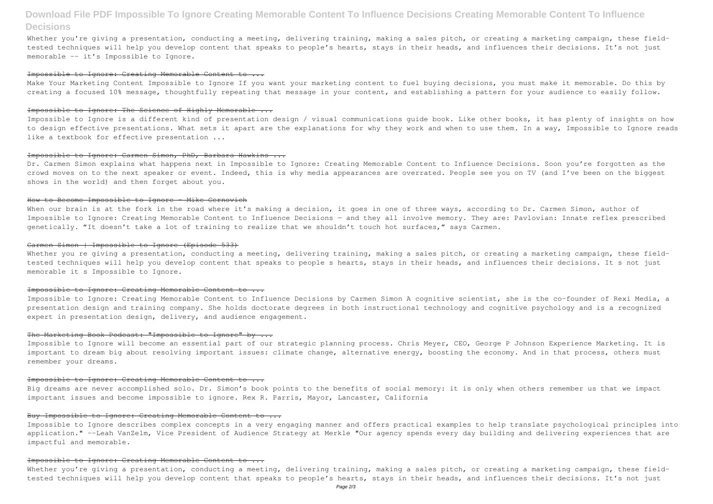# **Download File PDF Impossible To Ignore Creating Memorable Content To Influence Decisions Creating Memorable Content To Influence Decisions**

Whether you're giving a presentation, conducting a meeting, delivering training, making a sales pitch, or creating a marketing campaign, these fieldtested techniques will help you develop content that speaks to people's hearts, stays in their heads, and influences their decisions. It's not just memorable -- it's Impossible to Ignore.

#### Impossible to Ignore: Creating Memorable Content to ...

Make Your Marketing Content Impossible to Ignore If you want your marketing content to fuel buying decisions, you must make it memorable. Do this by creating a focused 10% message, thoughtfully repeating that message in your content, and establishing a pattern for your audience to easily follow.

# Impossible to Ignore: The Science of Highly Memorable ...

Dr. Carmen Simon explains what happens next in Impossible to Ignore: Creating Memorable Content to Influence Decisions. Soon you're forgotten as the crowd moves on to the next speaker or event. Indeed, this is why media appearances are overrated. People see you on TV (and I've been on the biggest shows in the world) and then forget about you.

### How to Become Impossible to Ignore - Mike Cernovich

When our brain is at the fork in the road where it's making a decision, it goes in one of three ways, according to Dr. Carmen Simon, author of Impossible to Ignore: Creating Memorable Content to Influence Decisions — and they all involve memory. They are: Pavlovian: Innate reflex prescribed genetically. "It doesn't take a lot of training to realize that we shouldn't touch hot surfaces," says Carmen.

Impossible to Ignore is a different kind of presentation design / visual communications guide book. Like other books, it has plenty of insights on how to design effective presentations. What sets it apart are the explanations for why they work and when to use them. In a way, Impossible to Ignore reads like a textbook for effective presentation ...

Whether you re giving a presentation, conducting a meeting, delivering training, making a sales pitch, or creating a marketing campaign, these fieldtested techniques will help you develop content that speaks to people s hearts, stays in their heads, and influences their decisions. It s not just memorable it s Impossible to Ignore.

#### Impossible to Ignore: Creating Memorable Content to ...

### Impossible to Ignore: Carmen Simon, PhD, Barbara Hawkins ...

### Carmen Simon | Impossible to Ignore (Episode 533)

Whether you're giving a presentation, conducting a meeting, delivering training, making a sales pitch, or creating a marketing campaign, these fieldtested techniques will help you develop content that speaks to people's hearts, stays in their heads, and influences their decisions. It's not just

Impossible to Ignore: Creating Memorable Content to Influence Decisions by Carmen Simon A cognitive scientist, she is the co-founder of Rexi Media, a presentation design and training company. She holds doctorate degrees in both instructional technology and cognitive psychology and is a recognized expert in presentation design, delivery, and audience engagement.

#### The Marketing Book Podcast: "Impossible to Ignore" by ...

Impossible to Ignore will become an essential part of our strategic planning process. Chris Meyer, CEO, George P Johnson Experience Marketing. It is important to dream big about resolving important issues: climate change, alternative energy, boosting the economy. And in that process, others must remember your dreams.

#### Impossible to Ignore: Creating Memorable Content to ...

Big dreams are never accomplished solo. Dr. Simon's book points to the benefits of social memory: it is only when others remember us that we impact important issues and become impossible to ignore. Rex R. Parris, Mayor, Lancaster, California

### Buy Impossible to Ignore: Creating Memorable Content to ...

Impossible to Ignore describes complex concepts in a very engaging manner and offers practical examples to help translate psychological principles into application." --Leah VanZelm, Vice President of Audience Strategy at Merkle "Our agency spends every day building and delivering experiences that are impactful and memorable.

#### Impossible to Ignore: Creating Memorable Content to ...